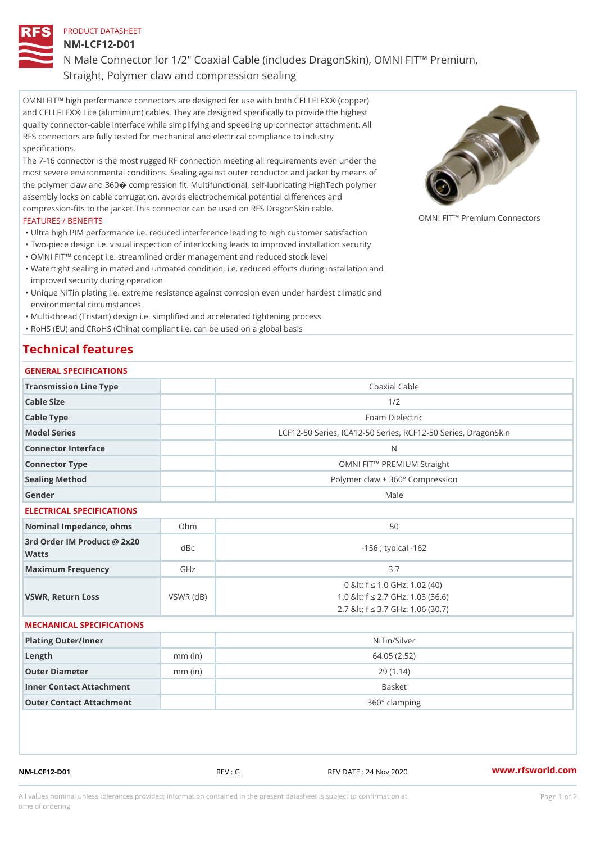PRODUCT DATASHEET

NM-LCF12-D01

N Male Connector for 1/2" Coaxial Cable (includes DragonSkin), OMNI Straight, Polymer claw and compression sealing

OMNI FIT!" high performance connectors are designed for use with both CELLFLEX® (copper) and CELLFLEX® Lite (aluminium) cables. They are designed specifically to provide the highest quality connector-cable interface while simplifying and speeding up connector attachment. All RFS connectors are fully tested for mechanical and electrical compliance to industry specifications.

The 7-16 connector is the most rugged RF connection meeting all requirements even under the most severe environmental conditions. Sealing against outer conductor and jacket by means of the polymer claw and 360ÿý compression fit. Multifunctional, self-lubricating HighTech polymer assembly locks on cable corrugation, avoids electrochemical potential differences and compression-fits to the jacket.This connector can be used on RFS DragonSkin cable. OMNI FIT!" Premium Connectors

## FEATURES / BENEFITS

- "Ultra high PIM performance i.e. reduced interference leading to high customer satisfaction
- "Two-piece design i.e. visual inspection of interlocking leads to improved installation security
- "OMNI FIT!" concept i.e. streamlined order management and reduced stock level
- Watertight sealing in mated and unmated condition, i.e. reduced efforts during installation and " improved security during operation
- Unique NiTin plating i.e. extreme resistance against corrosion even under hardest climatic and " environmental circumstances

"Multi-thread (Tristart) design i.e. simplified and accelerated tightening process

"RoHS (EU) and CRoHS (China) compliant i.e. can be used on a global basis

## Technical features

| GENERAL SPECIFICATIONS                      |                 |                                                                                                               |
|---------------------------------------------|-----------------|---------------------------------------------------------------------------------------------------------------|
| Transmission Line Type                      |                 | Coaxial Cable                                                                                                 |
| Cable Size                                  |                 | 1/2                                                                                                           |
| Cable Type                                  |                 | Foam Dielectric                                                                                               |
| Model Series                                |                 | LCF12-50 Series, ICA12-50 Series, RCF12-50 Series, D                                                          |
| Connector Interface                         |                 | N                                                                                                             |
| Connector Type                              |                 | OMNI FIT!" PREMIUM Straight                                                                                   |
| Sealing Method                              |                 | Polymer claw + 360° Compression                                                                               |
| Gender                                      |                 | Male                                                                                                          |
| ELECTRICAL SPECIFICATIONS                   |                 |                                                                                                               |
| Nominal Impedance, ohins Ohm                |                 | 50                                                                                                            |
| 3rd Order IM Product @ 2x20<br>dBc<br>Watts |                 | $-156$ ; typical $-162$                                                                                       |
| Maximum Frequency                           | GHz             | 3.7                                                                                                           |
| VSWR, Return Loss                           | $VSWR$ ( $dB$ ) | 0 & It; f "d 1.0 GHz: 1.02 (40)<br>1.0 & It; f "d 2.7 GHz: 1.03 (36.6)<br>2.7 & It; f "d 3.7 GHz: 1.06 (30.7) |
| MECHANICAL SPECIFICATIONS                   |                 |                                                                                                               |
| Plating Outer/Inner                         |                 | NiTin/Silver                                                                                                  |
| Length                                      | $mm$ (in)       | 64.05(2.52)                                                                                                   |
| Outer Diameter                              | $mm$ (in)       | 29(1.14)                                                                                                      |
| Inner Contact Attachment                    |                 | Basket                                                                                                        |
| Outer Contact Attachment                    |                 | 360° clamping                                                                                                 |

NM-LCF12-D01 REV : G REV DATE : 24 Nov 2020 [www.](https://www.rfsworld.com)rfsworld.com